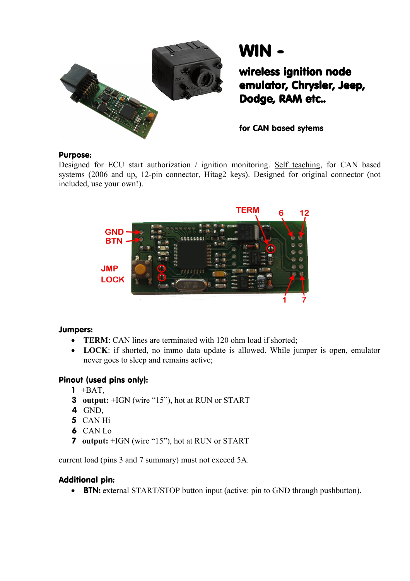

WIN -

wireless ignition node emulator, Chrysler, Jeep, Dodge, RAM etc..

for CAN based sytems

### Purpose:

Designed for ECU start authorization / ignition monitoring. Self teaching, for CAN based systems (2006 and up, 12-pin connector, Hitag2 keys). Designed for original connector (not included, use your own!).



### Jumpers:

- **TERM**: CAN lines are terminated with 120 ohm load if shorted;
- **LOCK**: if shorted, no immo data update is allowed. While jumper is open, emulator never goes to sleep and remains active;

# Pinout (used pins only):

- $1 + BAT$ ,
- 3 **output:** +IGN (wire "15"), hot at RUN or START
- 4 GND,
- 5 CAN Hi
- 6 CAN Lo
- 7 **output:** +IGN (wire "15"), hot at RUN or START

current load (pins 3 and 7 summary) must not exceed 5A.

### Additional pin:

• BTN: external START/STOP button input (active: pin to GND through pushbutton).